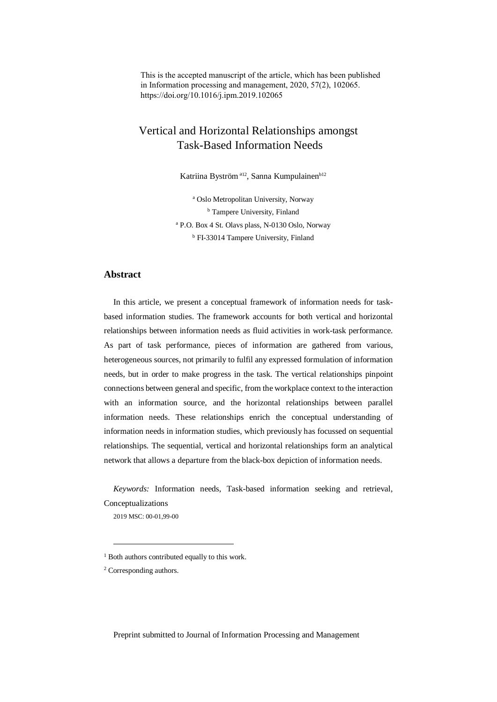This is the accepted manuscript of the article, which has been published in Information processing and management, 2020, 57(2), 102065. https://doi.org/10.1016/j.ipm.2019.102065

## Vertical and Horizontal Relationships amongst Task-Based Information Needs

Katriina Byström<sup>a12</sup>, Sanna Kumpulainenb12

a Oslo Metropolitan University, Norway **b** Tampere University, Finland a P.O. Box 4 St. Olavs plass, N-0130 Oslo, Norway **b** FI-33014 Tampere University, Finland

## **Abstract**

In this article, we present a conceptual framework of information needs for taskbased information studies. The framework accounts for both vertical and horizontal relationships between information needs as fluid activities in work-task performance. As part of task performance, pieces of information are gathered from various, heterogeneous sources, not primarily to fulfil any expressed formulation of information needs, but in order to make progress in the task. The vertical relationships pinpoint connections between general and specific, from the workplace context to the interaction with an information source, and the horizontal relationships between parallel information needs. These relationships enrich the conceptual understanding of information needs in information studies, which previously has focussed on sequential relationships. The sequential, vertical and horizontal relationships form an analytical network that allows a departure from the black-box depiction of information needs.

*Keywords:* Information needs, Task-based information seeking and retrieval, Conceptualizations

2019 MSC: 00-01,99-00

Preprint submitted to Journal of Information Processing and Management

<sup>&</sup>lt;sup>1</sup> Both authors contributed equally to this work.

<sup>2</sup> Corresponding authors.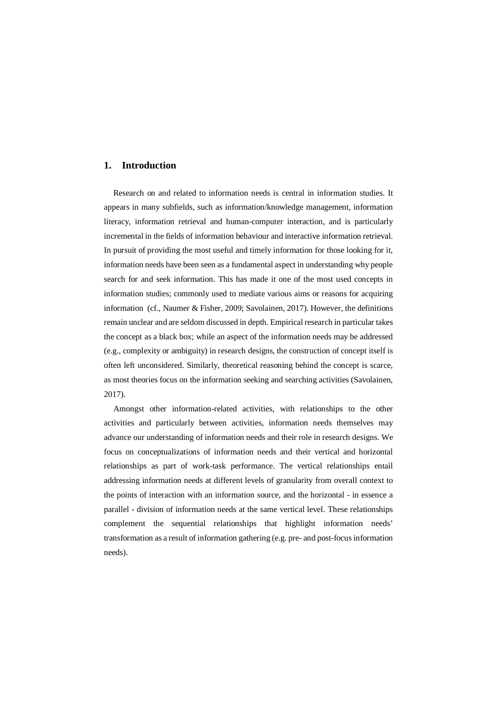#### **1. Introduction**

Research on and related to information needs is central in information studies. It appears in many subfields, such as information/knowledge management, information literacy, information retrieval and human-computer interaction, and is particularly incremental in the fields of information behaviour and interactive information retrieval. In pursuit of providing the most useful and timely information for those looking for it, information needs have been seen as a fundamental aspect in understanding why people search for and seek information. This has made it one of the most used concepts in information studies; commonly used to mediate various aims or reasons for acquiring information (cf., Naumer & Fisher, 2009; Savolainen, 2017). However, the definitions remain unclear and are seldom discussed in depth. Empirical research in particular takes the concept as a black box; while an aspect of the information needs may be addressed (e.g., complexity or ambiguity) in research designs, the construction of concept itself is often left unconsidered. Similarly, theoretical reasoning behind the concept is scarce, as most theories focus on the information seeking and searching activities (Savolainen, 2017).

Amongst other information-related activities, with relationships to the other activities and particularly between activities, information needs themselves may advance our understanding of information needs and their role in research designs. We focus on conceptualizations of information needs and their vertical and horizontal relationships as part of work-task performance. The vertical relationships entail addressing information needs at different levels of granularity from overall context to the points of interaction with an information source, and the horizontal - in essence a parallel - division of information needs at the same vertical level. These relationships complement the sequential relationships that highlight information needs' transformation as a result of information gathering (e.g. pre- and post-focus information needs).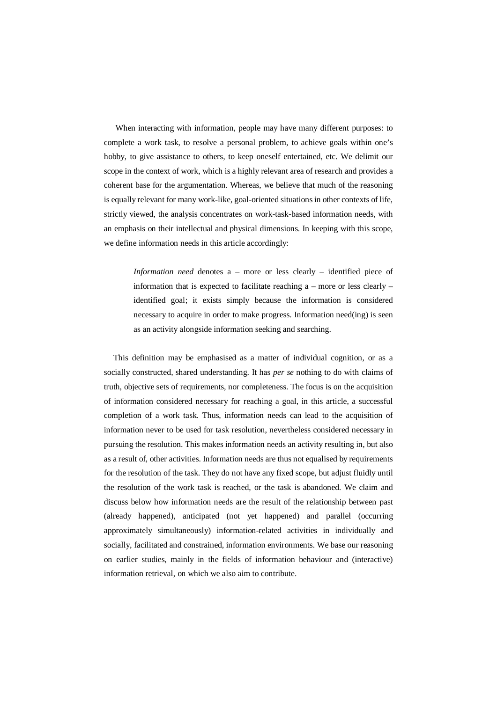When interacting with information, people may have many different purposes: to complete a work task, to resolve a personal problem, to achieve goals within one's hobby, to give assistance to others, to keep oneself entertained, etc. We delimit our scope in the context of work, which is a highly relevant area of research and provides a coherent base for the argumentation. Whereas, we believe that much of the reasoning is equally relevant for many work-like, goal-oriented situations in other contexts of life, strictly viewed, the analysis concentrates on work-task-based information needs, with an emphasis on their intellectual and physical dimensions. In keeping with this scope, we define information needs in this article accordingly:

> *Information need* denotes a – more or less clearly – identified piece of information that is expected to facilitate reaching a – more or less clearly – identified goal; it exists simply because the information is considered necessary to acquire in order to make progress. Information need(ing) is seen as an activity alongside information seeking and searching.

This definition may be emphasised as a matter of individual cognition, or as a socially constructed, shared understanding. It has *per se* nothing to do with claims of truth, objective sets of requirements, nor completeness. The focus is on the acquisition of information considered necessary for reaching a goal, in this article, a successful completion of a work task. Thus, information needs can lead to the acquisition of information never to be used for task resolution, nevertheless considered necessary in pursuing the resolution. This makes information needs an activity resulting in, but also as a result of, other activities. Information needs are thus not equalised by requirements for the resolution of the task. They do not have any fixed scope, but adjust fluidly until the resolution of the work task is reached, or the task is abandoned. We claim and discuss below how information needs are the result of the relationship between past (already happened), anticipated (not yet happened) and parallel (occurring approximately simultaneously) information-related activities in individually and socially, facilitated and constrained, information environments. We base our reasoning on earlier studies, mainly in the fields of information behaviour and (interactive) information retrieval, on which we also aim to contribute.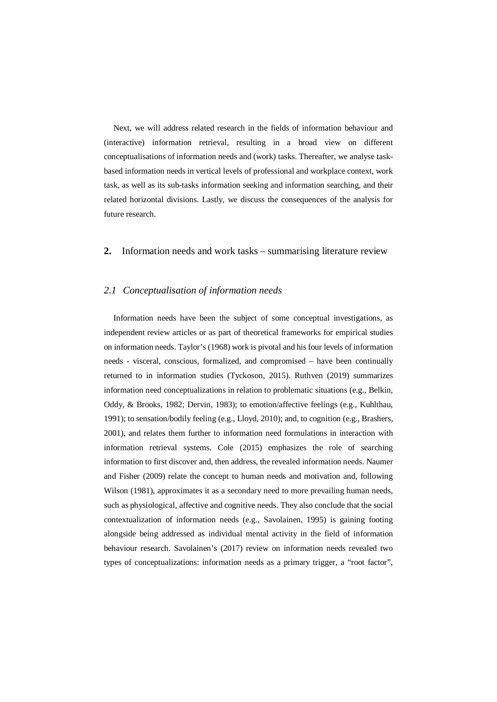Next, we will address related research in the fields of information behaviour and (interactive) information retrieval, resulting in a broad view on different conceptualisations of information needs and (work) tasks. Thereafter, we analyse taskbased information needs in vertical levels of professional and workplace context, work task, as well as its sub-tasks information seeking and information searching, and their related horizontal divisions. Lastly, we discuss the consequences of the analysis for future research.

## **2.** Information needs and work tasks – summarising literature review

## *2.1 Conceptualisation of information needs*

Information needs have been the subject of some conceptual investigations, as independent review articles or as part of theoretical frameworks for empirical studies on information needs. Taylor's (1968) work is pivotal and his four levels of information needs - visceral, conscious, formalized, and compromised – have been continually returned to in information studies (Tyckoson, 2015). Ruthven (2019) summarizes information need conceptualizations in relation to problematic situations (e.g., Belkin, Oddy, & Brooks, 1982; Dervin, 1983); to emotion/affective feelings (e.g., Kuhlthau, 1991); to sensation/bodily feeling (e.g., Lloyd, 2010); and, to cognition (e.g., Brashers, 2001), and relates them further to information need formulations in interaction with information retrieval systems. Cole (2015) emphasizes the role of searching information to first discover and, then address, the revealed information needs. Naumer and Fisher (2009) relate the concept to human needs and motivation and, following Wilson (1981), approximates it as a secondary need to more prevailing human needs, such as physiological, affective and cognitive needs. They also conclude that the social contextualization of information needs (e.g., Savolainen, 1995) is gaining footing alongside being addressed as individual mental activity in the field of information behaviour research. Savolainen's (2017) review on information needs revealed two types of conceptualizations: information needs as a primary trigger, a "root factor",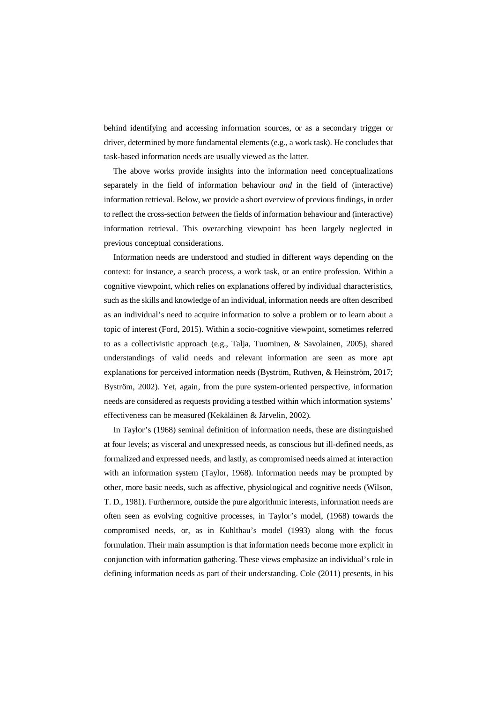behind identifying and accessing information sources, or as a secondary trigger or driver, determined by more fundamental elements (e.g., a work task). He concludes that task-based information needs are usually viewed as the latter.

The above works provide insights into the information need conceptualizations separately in the field of information behaviour *and* in the field of (interactive) information retrieval. Below, we provide a short overview of previous findings, in order to reflect the cross-section *between* the fields of information behaviour and (interactive) information retrieval. This overarching viewpoint has been largely neglected in previous conceptual considerations.

Information needs are understood and studied in different ways depending on the context: for instance, a search process, a work task, or an entire profession. Within a cognitive viewpoint, which relies on explanations offered by individual characteristics, such as the skills and knowledge of an individual, information needs are often described as an individual's need to acquire information to solve a problem or to learn about a topic of interest (Ford, 2015). Within a socio-cognitive viewpoint, sometimes referred to as a collectivistic approach (e.g., Talja, Tuominen, & Savolainen, 2005), shared understandings of valid needs and relevant information are seen as more apt explanations for perceived information needs (Byström, Ruthven, & Heinström, 2017; Byström, 2002). Yet, again, from the pure system-oriented perspective, information needs are considered as requests providing a testbed within which information systems' effectiveness can be measured (Kekäläinen & Järvelin, 2002).

In Taylor's (1968) seminal definition of information needs, these are distinguished at four levels; as visceral and unexpressed needs, as conscious but ill-defined needs, as formalized and expressed needs, and lastly, as compromised needs aimed at interaction with an information system (Taylor, 1968). Information needs may be prompted by other, more basic needs, such as affective, physiological and cognitive needs (Wilson, T. D., 1981). Furthermore, outside the pure algorithmic interests, information needs are often seen as evolving cognitive processes, in Taylor's model, (1968) towards the compromised needs, or, as in Kuhlthau's model (1993) along with the focus formulation. Their main assumption is that information needs become more explicit in conjunction with information gathering. These views emphasize an individual's role in defining information needs as part of their understanding. Cole (2011) presents, in his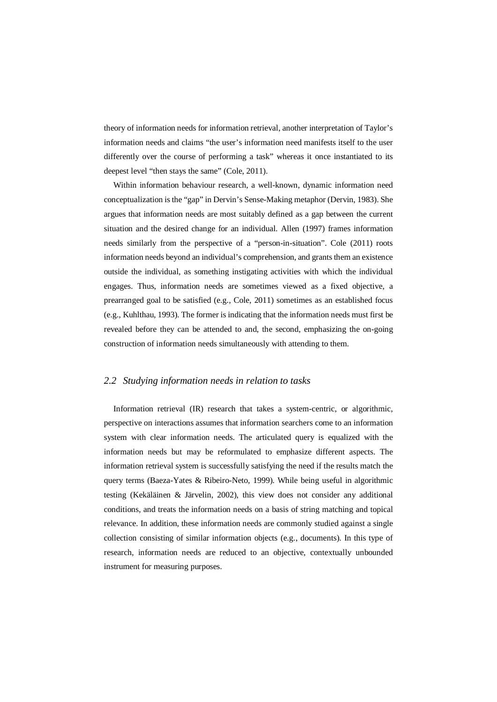theory of information needs for information retrieval, another interpretation of Taylor's information needs and claims "the user's information need manifests itself to the user differently over the course of performing a task" whereas it once instantiated to its deepest level "then stays the same" (Cole, 2011).

Within information behaviour research, a well-known, dynamic information need conceptualization is the "gap" in Dervin's Sense-Making metaphor (Dervin, 1983). She argues that information needs are most suitably defined as a gap between the current situation and the desired change for an individual. Allen (1997) frames information needs similarly from the perspective of a "person-in-situation". Cole (2011) roots information needs beyond an individual's comprehension, and grants them an existence outside the individual, as something instigating activities with which the individual engages. Thus, information needs are sometimes viewed as a fixed objective, a prearranged goal to be satisfied (e.g., Cole, 2011) sometimes as an established focus (e.g., Kuhlthau, 1993). The former is indicating that the information needs must first be revealed before they can be attended to and, the second, emphasizing the on-going construction of information needs simultaneously with attending to them.

#### *2.2 Studying information needs in relation to tasks*

Information retrieval (IR) research that takes a system-centric, or algorithmic, perspective on interactions assumes that information searchers come to an information system with clear information needs. The articulated query is equalized with the information needs but may be reformulated to emphasize different aspects. The information retrieval system is successfully satisfying the need if the results match the query terms (Baeza-Yates & Ribeiro-Neto, 1999). While being useful in algorithmic testing (Kekäläinen & Järvelin, 2002), this view does not consider any additional conditions, and treats the information needs on a basis of string matching and topical relevance. In addition, these information needs are commonly studied against a single collection consisting of similar information objects (e.g., documents). In this type of research, information needs are reduced to an objective, contextually unbounded instrument for measuring purposes.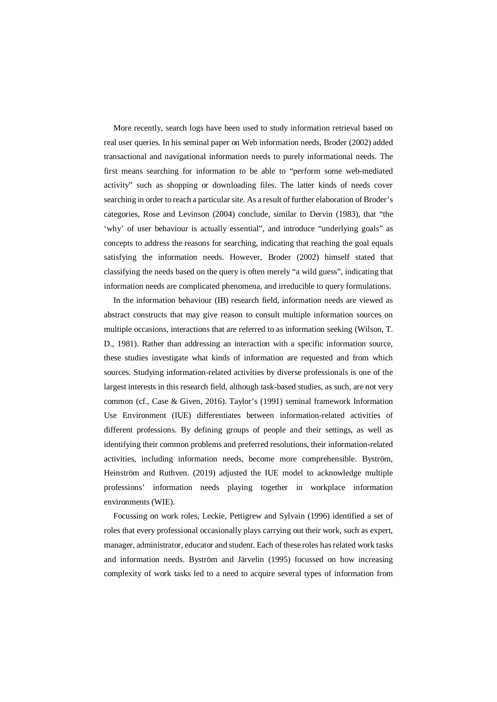More recently, search logs have been used to study information retrieval based on real user queries. In his seminal paper on Web information needs, Broder (2002) added transactional and navigational information needs to purely informational needs. The first means searching for information to be able to "perform some web-mediated activity" such as shopping or downloading files. The latter kinds of needs cover searching in order to reach a particular site. As a result of further elaboration of Broder's categories, Rose and Levinson (2004) conclude, similar to Dervin (1983), that "the 'why' of user behaviour is actually essential", and introduce "underlying goals" as concepts to address the reasons for searching, indicating that reaching the goal equals satisfying the information needs. However, Broder (2002) himself stated that classifying the needs based on the query is often merely "a wild guess", indicating that information needs are complicated phenomena, and irreducible to query formulations.

In the information behaviour (IB) research field, information needs are viewed as abstract constructs that may give reason to consult multiple information sources on multiple occasions, interactions that are referred to as information seeking (Wilson, T. D., 1981). Rather than addressing an interaction with a specific information source, these studies investigate what kinds of information are requested and from which sources. Studying information-related activities by diverse professionals is one of the largest interests in this research field, although task-based studies, as such, are not very common (cf., Case & Given, 2016). Taylor's (1991) seminal framework Information Use Environment (IUE) differentiates between information-related activities of different professions. By defining groups of people and their settings, as well as identifying their common problems and preferred resolutions, their information-related activities, including information needs, become more comprehensible. Byström, Heinström and Ruthven. (2019) adjusted the IUE model to acknowledge multiple professions' information needs playing together in workplace information environments (WIE).

Focussing on work roles, Leckie, Pettigrew and Sylvain (1996) identified a set of roles that every professional occasionally plays carrying out their work, such as expert, manager, administrator, educator and student. Each of these roles has related work tasks and information needs. Byström and Järvelin (1995) focussed on how increasing complexity of work tasks led to a need to acquire several types of information from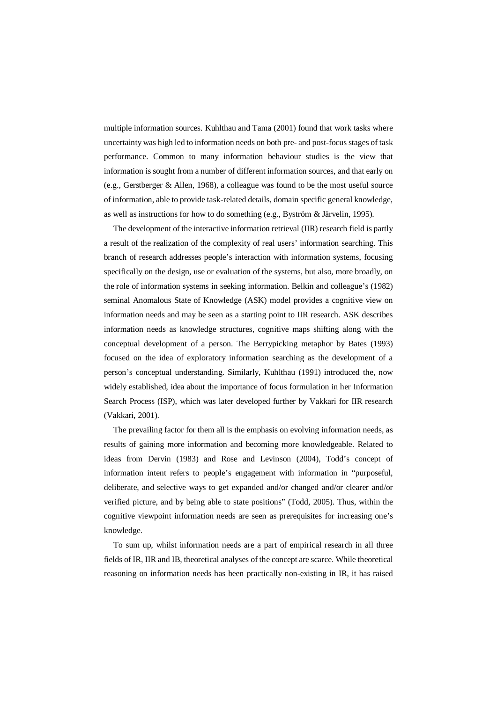multiple information sources. Kuhlthau and Tama (2001) found that work tasks where uncertainty was high led to information needs on both pre- and post-focus stages of task performance. Common to many information behaviour studies is the view that information is sought from a number of different information sources, and that early on (e.g., Gerstberger & Allen, 1968), a colleague was found to be the most useful source of information, able to provide task-related details, domain specific general knowledge, as well as instructions for how to do something (e.g., Byström & Järvelin, 1995).

The development of the interactive information retrieval (IIR) research field is partly a result of the realization of the complexity of real users' information searching. This branch of research addresses people's interaction with information systems, focusing specifically on the design, use or evaluation of the systems, but also, more broadly, on the role of information systems in seeking information. Belkin and colleague's (1982) seminal Anomalous State of Knowledge (ASK) model provides a cognitive view on information needs and may be seen as a starting point to IIR research. ASK describes information needs as knowledge structures, cognitive maps shifting along with the conceptual development of a person. The Berrypicking metaphor by Bates (1993) focused on the idea of exploratory information searching as the development of a person's conceptual understanding. Similarly, Kuhlthau (1991) introduced the, now widely established, idea about the importance of focus formulation in her Information Search Process (ISP), which was later developed further by Vakkari for IIR research (Vakkari, 2001).

The prevailing factor for them all is the emphasis on evolving information needs, as results of gaining more information and becoming more knowledgeable. Related to ideas from Dervin (1983) and Rose and Levinson (2004), Todd's concept of information intent refers to people's engagement with information in "purposeful, deliberate, and selective ways to get expanded and/or changed and/or clearer and/or verified picture, and by being able to state positions" (Todd, 2005). Thus, within the cognitive viewpoint information needs are seen as prerequisites for increasing one's knowledge.

To sum up, whilst information needs are a part of empirical research in all three fields of IR, IIR and IB, theoretical analyses of the concept are scarce. While theoretical reasoning on information needs has been practically non-existing in IR, it has raised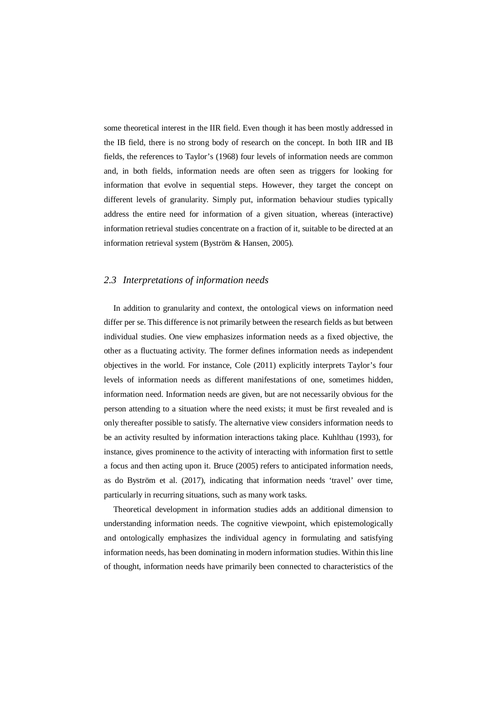some theoretical interest in the IIR field. Even though it has been mostly addressed in the IB field, there is no strong body of research on the concept. In both IIR and IB fields, the references to Taylor's (1968) four levels of information needs are common and, in both fields, information needs are often seen as triggers for looking for information that evolve in sequential steps. However, they target the concept on different levels of granularity. Simply put, information behaviour studies typically address the entire need for information of a given situation, whereas (interactive) information retrieval studies concentrate on a fraction of it, suitable to be directed at an information retrieval system (Byström & Hansen, 2005).

## *2.3 Interpretations of information needs*

In addition to granularity and context, the ontological views on information need differ per se. This difference is not primarily between the research fields as but between individual studies. One view emphasizes information needs as a fixed objective, the other as a fluctuating activity. The former defines information needs as independent objectives in the world. For instance, Cole (2011) explicitly interprets Taylor's four levels of information needs as different manifestations of one, sometimes hidden, information need. Information needs are given, but are not necessarily obvious for the person attending to a situation where the need exists; it must be first revealed and is only thereafter possible to satisfy. The alternative view considers information needs to be an activity resulted by information interactions taking place. Kuhlthau (1993), for instance, gives prominence to the activity of interacting with information first to settle a focus and then acting upon it. Bruce (2005) refers to anticipated information needs, as do Byström et al. (2017), indicating that information needs 'travel' over time, particularly in recurring situations, such as many work tasks.

Theoretical development in information studies adds an additional dimension to understanding information needs. The cognitive viewpoint, which epistemologically and ontologically emphasizes the individual agency in formulating and satisfying information needs, has been dominating in modern information studies. Within this line of thought, information needs have primarily been connected to characteristics of the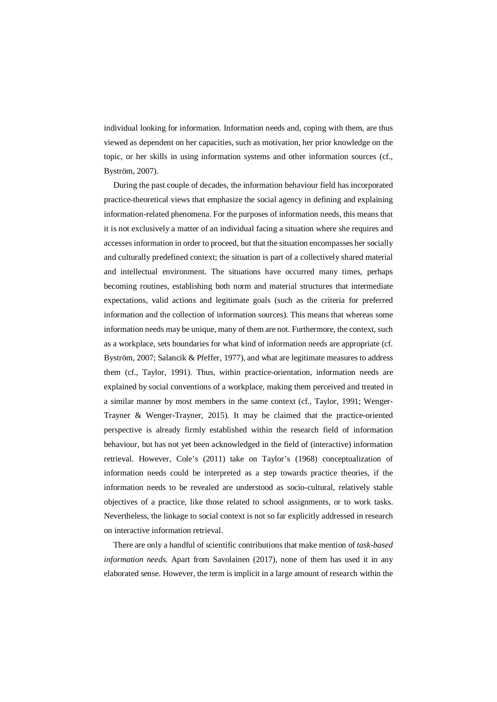individual looking for information. Information needs and, coping with them, are thus viewed as dependent on her capacities, such as motivation, her prior knowledge on the topic, or her skills in using information systems and other information sources (cf., Byström, 2007).

During the past couple of decades, the information behaviour field has incorporated practice-theoretical views that emphasize the social agency in defining and explaining information-related phenomena. For the purposes of information needs, this means that it is not exclusively a matter of an individual facing a situation where she requires and accesses information in order to proceed, but that the situation encompasses her socially and culturally predefined context; the situation is part of a collectively shared material and intellectual environment. The situations have occurred many times, perhaps becoming routines, establishing both norm and material structures that intermediate expectations, valid actions and legitimate goals (such as the criteria for preferred information and the collection of information sources). This means that whereas some information needs may be unique, many of them are not. Furthermore, the context, such as a workplace, sets boundaries for what kind of information needs are appropriate (cf. Byström, 2007; Salancik & Pfeffer, 1977), and what are legitimate measures to address them (cf., Taylor, 1991). Thus, within practice-orientation, information needs are explained by social conventions of a workplace, making them perceived and treated in a similar manner by most members in the same context (cf., Taylor, 1991; Wenger-Trayner & Wenger-Trayner, 2015). It may be claimed that the practice-oriented perspective is already firmly established within the research field of information behaviour, but has not yet been acknowledged in the field of (interactive) information retrieval. However, Cole's (2011) take on Taylor's (1968) conceptualization of information needs could be interpreted as a step towards practice theories, if the information needs to be revealed are understood as socio-cultural, relatively stable objectives of a practice, like those related to school assignments, or to work tasks. Nevertheless, the linkage to social context is not so far explicitly addressed in research on interactive information retrieval.

There are only a handful of scientific contributions that make mention of *task-based information needs.* Apart from Savolainen (2017), none of them has used it in any elaborated sense. However, the term is implicit in a large amount of research within the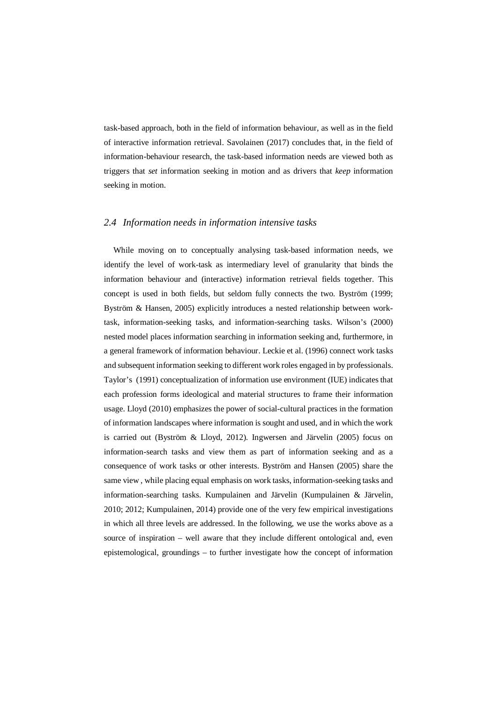task-based approach, both in the field of information behaviour, as well as in the field of interactive information retrieval. Savolainen (2017) concludes that, in the field of information-behaviour research, the task-based information needs are viewed both as triggers that *set* information seeking in motion and as drivers that *keep* information seeking in motion.

#### *2.4 Information needs in information intensive tasks*

While moving on to conceptually analysing task-based information needs, we identify the level of work-task as intermediary level of granularity that binds the information behaviour and (interactive) information retrieval fields together. This concept is used in both fields, but seldom fully connects the two. Byström (1999; Byström & Hansen, 2005) explicitly introduces a nested relationship between worktask, information-seeking tasks, and information-searching tasks. Wilson's (2000) nested model places information searching in information seeking and, furthermore, in a general framework of information behaviour. Leckie et al. (1996) connect work tasks and subsequent information seeking to different work roles engaged in by professionals. Taylor's (1991) conceptualization of information use environment (IUE) indicates that each profession forms ideological and material structures to frame their information usage. Lloyd (2010) emphasizes the power of social-cultural practices in the formation of information landscapes where information is sought and used, and in which the work is carried out (Byström & Lloyd, 2012). Ingwersen and Järvelin (2005) focus on information-search tasks and view them as part of information seeking and as a consequence of work tasks or other interests. Byström and Hansen (2005) share the same view , while placing equal emphasis on work tasks, information-seeking tasks and information-searching tasks. Kumpulainen and Järvelin (Kumpulainen & Järvelin, 2010; 2012; Kumpulainen, 2014) provide one of the very few empirical investigations in which all three levels are addressed. In the following, we use the works above as a source of inspiration – well aware that they include different ontological and, even epistemological, groundings – to further investigate how the concept of information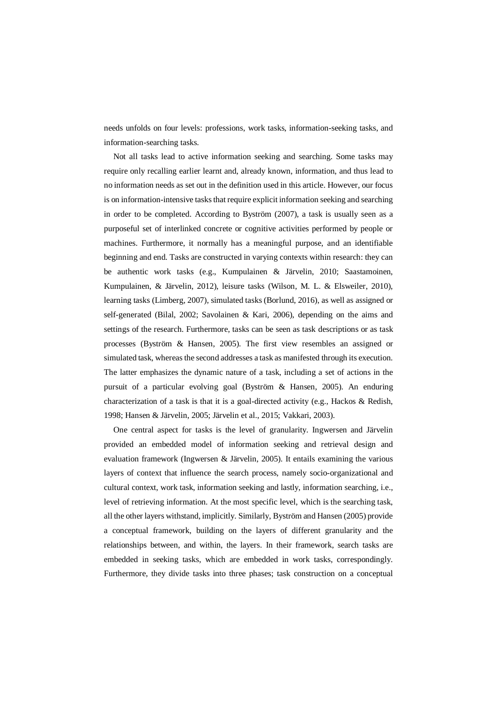needs unfolds on four levels: professions, work tasks, information-seeking tasks, and information-searching tasks.

Not all tasks lead to active information seeking and searching. Some tasks may require only recalling earlier learnt and, already known, information, and thus lead to no information needs as set out in the definition used in this article. However, our focus is on information-intensive tasks that require explicit information seeking and searching in order to be completed. According to Byström (2007), a task is usually seen as a purposeful set of interlinked concrete or cognitive activities performed by people or machines. Furthermore, it normally has a meaningful purpose, and an identifiable beginning and end. Tasks are constructed in varying contexts within research: they can be authentic work tasks (e.g., Kumpulainen & Järvelin, 2010; Saastamoinen, Kumpulainen, & Järvelin, 2012), leisure tasks (Wilson, M. L. & Elsweiler, 2010), learning tasks (Limberg, 2007), simulated tasks (Borlund, 2016), as well as assigned or self-generated (Bilal, 2002; Savolainen & Kari, 2006), depending on the aims and settings of the research. Furthermore, tasks can be seen as task descriptions or as task processes (Byström & Hansen, 2005). The first view resembles an assigned or simulated task, whereas the second addresses a task as manifested through its execution. The latter emphasizes the dynamic nature of a task, including a set of actions in the pursuit of a particular evolving goal (Byström & Hansen, 2005). An enduring characterization of a task is that it is a goal-directed activity (e.g., Hackos & Redish, 1998; Hansen & Järvelin, 2005; Järvelin et al., 2015; Vakkari, 2003).

One central aspect for tasks is the level of granularity. Ingwersen and Järvelin provided an embedded model of information seeking and retrieval design and evaluation framework (Ingwersen & Järvelin, 2005). It entails examining the various layers of context that influence the search process, namely socio-organizational and cultural context, work task, information seeking and lastly, information searching, i.e., level of retrieving information. At the most specific level, which is the searching task, all the other layers withstand, implicitly. Similarly, Byström and Hansen (2005) provide a conceptual framework, building on the layers of different granularity and the relationships between, and within, the layers. In their framework, search tasks are embedded in seeking tasks, which are embedded in work tasks, correspondingly. Furthermore, they divide tasks into three phases; task construction on a conceptual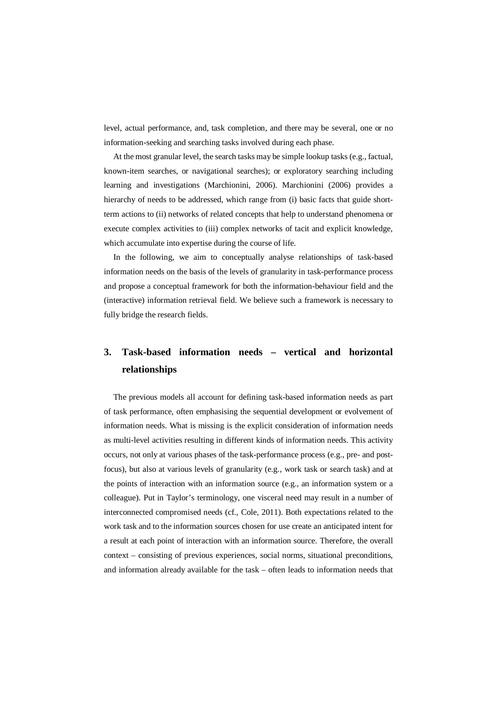level, actual performance, and, task completion, and there may be several, one or no information-seeking and searching tasks involved during each phase.

At the most granular level, the search tasks may be simple lookup tasks (e.g., factual, known-item searches, or navigational searches); or exploratory searching including learning and investigations (Marchionini, 2006). Marchionini (2006) provides a hierarchy of needs to be addressed, which range from (i) basic facts that guide shortterm actions to (ii) networks of related concepts that help to understand phenomena or execute complex activities to (iii) complex networks of tacit and explicit knowledge, which accumulate into expertise during the course of life.

In the following, we aim to conceptually analyse relationships of task-based information needs on the basis of the levels of granularity in task-performance process and propose a conceptual framework for both the information-behaviour field and the (interactive) information retrieval field. We believe such a framework is necessary to fully bridge the research fields.

# **3. Task-based information needs – vertical and horizontal relationships**

The previous models all account for defining task-based information needs as part of task performance, often emphasising the sequential development or evolvement of information needs. What is missing is the explicit consideration of information needs as multi-level activities resulting in different kinds of information needs. This activity occurs, not only at various phases of the task-performance process (e.g., pre- and postfocus), but also at various levels of granularity (e.g., work task or search task) and at the points of interaction with an information source (e.g., an information system or a colleague). Put in Taylor's terminology, one visceral need may result in a number of interconnected compromised needs (cf., Cole, 2011). Both expectations related to the work task and to the information sources chosen for use create an anticipated intent for a result at each point of interaction with an information source. Therefore, the overall context – consisting of previous experiences, social norms, situational preconditions, and information already available for the task – often leads to information needs that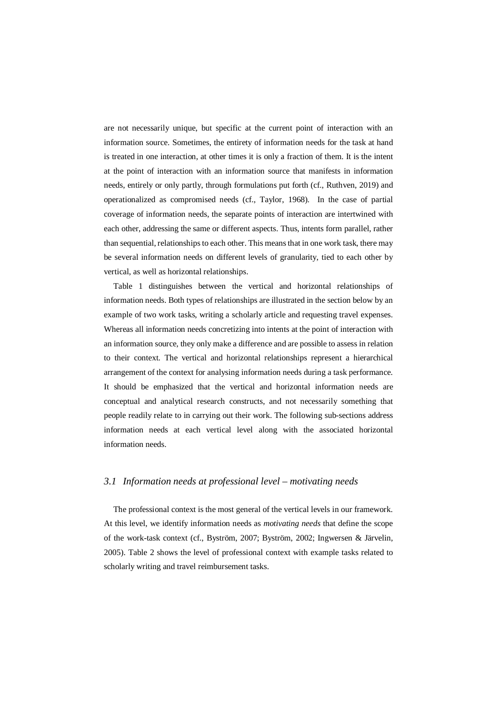are not necessarily unique, but specific at the current point of interaction with an information source. Sometimes, the entirety of information needs for the task at hand is treated in one interaction, at other times it is only a fraction of them. It is the intent at the point of interaction with an information source that manifests in information needs, entirely or only partly, through formulations put forth (cf., Ruthven, 2019) and operationalized as compromised needs (cf., Taylor, 1968). In the case of partial coverage of information needs, the separate points of interaction are intertwined with each other, addressing the same or different aspects. Thus, intents form parallel, rather than sequential, relationships to each other. This means that in one work task, there may be several information needs on different levels of granularity, tied to each other by vertical, as well as horizontal relationships.

Table 1 distinguishes between the vertical and horizontal relationships of information needs. Both types of relationships are illustrated in the section below by an example of two work tasks, writing a scholarly article and requesting travel expenses. Whereas all information needs concretizing into intents at the point of interaction with an information source, they only make a difference and are possible to assess in relation to their context. The vertical and horizontal relationships represent a hierarchical arrangement of the context for analysing information needs during a task performance. It should be emphasized that the vertical and horizontal information needs are conceptual and analytical research constructs, and not necessarily something that people readily relate to in carrying out their work. The following sub-sections address information needs at each vertical level along with the associated horizontal information needs.

#### *3.1 Information needs at professional level – motivating needs*

The professional context is the most general of the vertical levels in our framework. At this level, we identify information needs as *motivating needs* that define the scope of the work-task context (cf., Byström, 2007; Byström, 2002; Ingwersen & Järvelin, 2005). Table 2 shows the level of professional context with example tasks related to scholarly writing and travel reimbursement tasks.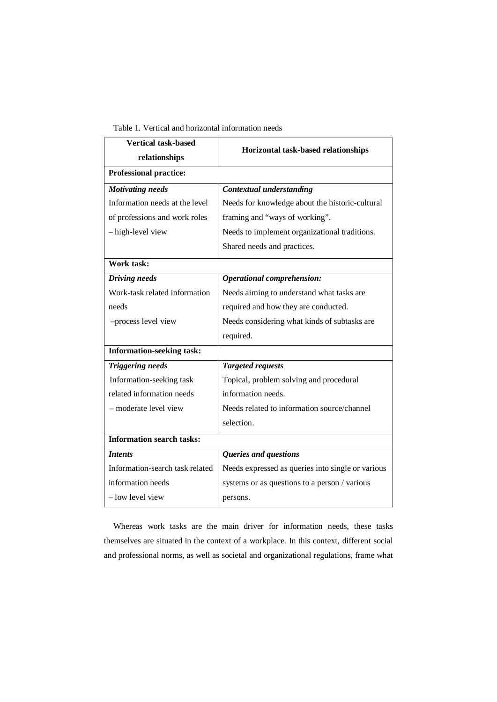|  |  | Table 1. Vertical and horizontal information needs |
|--|--|----------------------------------------------------|
|--|--|----------------------------------------------------|

| <b>Vertical task-based</b>       |                                                   |  |
|----------------------------------|---------------------------------------------------|--|
| relationships                    | Horizontal task-based relationships               |  |
| <b>Professional practice:</b>    |                                                   |  |
| <b>Motivating needs</b>          | Contextual understanding                          |  |
| Information needs at the level   | Needs for knowledge about the historic-cultural   |  |
| of professions and work roles    | framing and "ways of working".                    |  |
| - high-level view                | Needs to implement organizational traditions.     |  |
|                                  | Shared needs and practices.                       |  |
| Work task:                       |                                                   |  |
| Driving needs                    | <b>Operational comprehension:</b>                 |  |
| Work-task related information    | Needs aiming to understand what tasks are         |  |
| needs                            | required and how they are conducted.              |  |
| -process level view              | Needs considering what kinds of subtasks are      |  |
|                                  | required.                                         |  |
| <b>Information-seeking task:</b> |                                                   |  |
| <b>Triggering needs</b>          | <b>Targeted requests</b>                          |  |
| Information-seeking task         | Topical, problem solving and procedural           |  |
| related information needs        | information needs.                                |  |
| - moderate level view            | Needs related to information source/channel       |  |
|                                  | selection.                                        |  |
| <b>Information search tasks:</b> |                                                   |  |
| <b>Intents</b>                   | Queries and questions                             |  |
| Information-search task related  | Needs expressed as queries into single or various |  |
| information needs                | systems or as questions to a person / various     |  |
| - low level view                 | persons.                                          |  |

Whereas work tasks are the main driver for information needs, these tasks themselves are situated in the context of a workplace. In this context, different social and professional norms, as well as societal and organizational regulations, frame what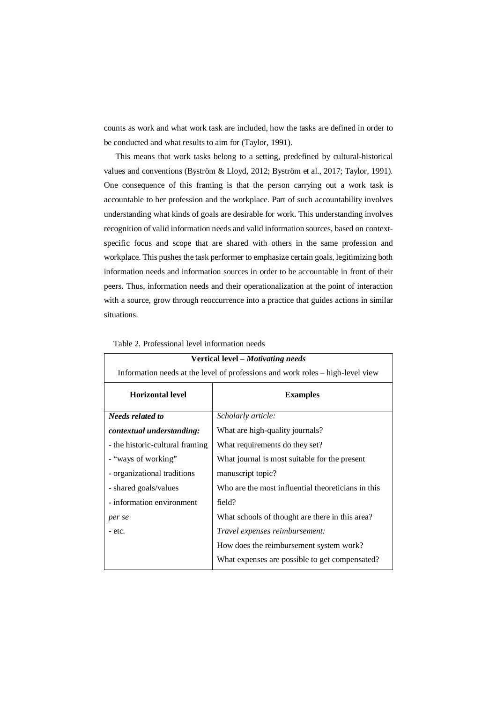counts as work and what work task are included, how the tasks are defined in order to be conducted and what results to aim for (Taylor, 1991).

 This means that work tasks belong to a setting, predefined by cultural-historical values and conventions (Byström & Lloyd, 2012; Byström et al., 2017; Taylor, 1991). One consequence of this framing is that the person carrying out a work task is accountable to her profession and the workplace. Part of such accountability involves understanding what kinds of goals are desirable for work. This understanding involves recognition of valid information needs and valid information sources, based on contextspecific focus and scope that are shared with others in the same profession and workplace. This pushes the task performer to emphasize certain goals, legitimizing both information needs and information sources in order to be accountable in front of their peers. Thus, information needs and their operationalization at the point of interaction with a source, grow through reoccurrence into a practice that guides actions in similar situations.

| <b>Vertical level – Motivating needs</b><br>Information needs at the level of professions and work roles – high-level view |                                                    |  |
|----------------------------------------------------------------------------------------------------------------------------|----------------------------------------------------|--|
| <b>Horizontal level</b>                                                                                                    | <b>Examples</b>                                    |  |
| Needs related to                                                                                                           | Scholarly article:                                 |  |
| contextual understanding:                                                                                                  | What are high-quality journals?                    |  |
| - the historic-cultural framing                                                                                            | What requirements do they set?                     |  |
| - "ways of working"                                                                                                        | What journal is most suitable for the present      |  |
| - organizational traditions                                                                                                | manuscript topic?                                  |  |
| - shared goals/values                                                                                                      | Who are the most influential theoreticians in this |  |
| - information environment                                                                                                  | field?                                             |  |
| per se                                                                                                                     | What schools of thought are there in this area?    |  |
| - etc.                                                                                                                     | Travel expenses reimbursement:                     |  |
|                                                                                                                            | How does the reimbursement system work?            |  |
|                                                                                                                            | What expenses are possible to get compensated?     |  |

Table 2. Professional level information needs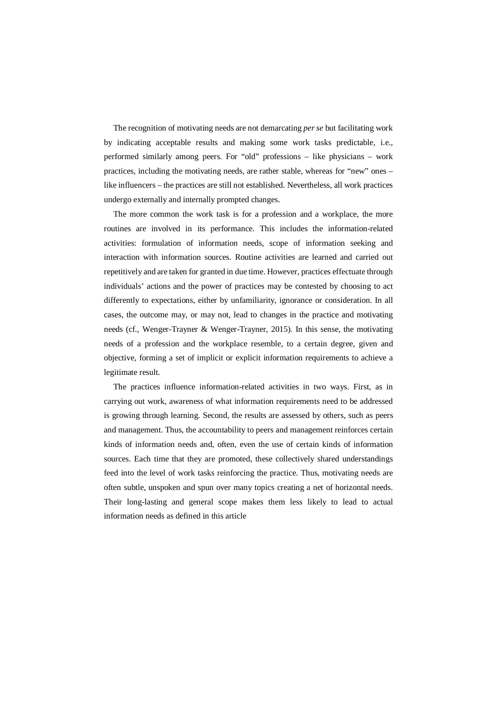The recognition of motivating needs are not demarcating *per se* but facilitating work by indicating acceptable results and making some work tasks predictable, i.e., performed similarly among peers. For "old" professions – like physicians – work practices, including the motivating needs, are rather stable, whereas for "new" ones – like influencers – the practices are still not established. Nevertheless, all work practices undergo externally and internally prompted changes.

The more common the work task is for a profession and a workplace, the more routines are involved in its performance. This includes the information-related activities: formulation of information needs, scope of information seeking and interaction with information sources. Routine activities are learned and carried out repetitively and are taken for granted in due time. However, practices effectuate through individuals' actions and the power of practices may be contested by choosing to act differently to expectations, either by unfamiliarity, ignorance or consideration. In all cases, the outcome may, or may not, lead to changes in the practice and motivating needs (cf., Wenger-Trayner & Wenger-Trayner, 2015). In this sense, the motivating needs of a profession and the workplace resemble, to a certain degree, given and objective, forming a set of implicit or explicit information requirements to achieve a legitimate result.

The practices influence information-related activities in two ways. First, as in carrying out work, awareness of what information requirements need to be addressed is growing through learning. Second, the results are assessed by others, such as peers and management. Thus, the accountability to peers and management reinforces certain kinds of information needs and, often, even the use of certain kinds of information sources. Each time that they are promoted, these collectively shared understandings feed into the level of work tasks reinforcing the practice. Thus, motivating needs are often subtle, unspoken and spun over many topics creating a net of horizontal needs. Their long-lasting and general scope makes them less likely to lead to actual information needs as defined in this article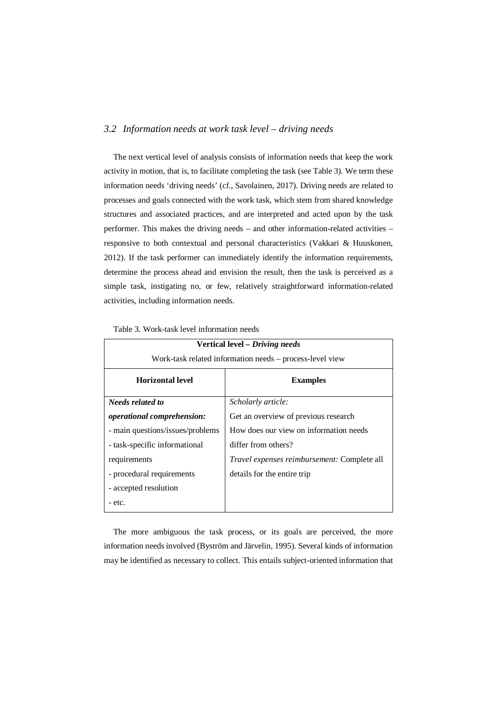## *3.2 Information needs at work task level – driving needs*

The next vertical level of analysis consists of information needs that keep the work activity in motion, that is, to facilitate completing the task (see Table 3). We term these information needs 'driving needs' (cf., Savolainen, 2017). Driving needs are related to processes and goals connected with the work task, which stem from shared knowledge structures and associated practices, and are interpreted and acted upon by the task performer. This makes the driving needs – and other information-related activities – responsive to both contextual and personal characteristics (Vakkari & Huuskonen, 2012). If the task performer can immediately identify the information requirements, determine the process ahead and envision the result, then the task is perceived as a simple task, instigating no, or few, relatively straightforward information-related activities, including information needs.

| Vertical level - Driving needs                           |                                                    |  |
|----------------------------------------------------------|----------------------------------------------------|--|
| Work-task related information needs – process-level view |                                                    |  |
| <b>Horizontal level</b>                                  | <b>Examples</b>                                    |  |
| Needs related to                                         | Scholarly article:                                 |  |
| <i>operational comprehension:</i>                        | Get an overview of previous research               |  |
| - main questions/issues/problems                         | How does our view on information needs             |  |
| - task-specific informational                            | differ from others?                                |  |
| requirements                                             | <i>Travel expenses reimbursement:</i> Complete all |  |
| - procedural requirements                                | details for the entire trip                        |  |
| - accepted resolution                                    |                                                    |  |
| - etc.                                                   |                                                    |  |

Table 3. Work-task level information needs

The more ambiguous the task process, or its goals are perceived, the more information needs involved (Byström and Järvelin, 1995). Several kinds of information may be identified as necessary to collect. This entails subject-oriented information that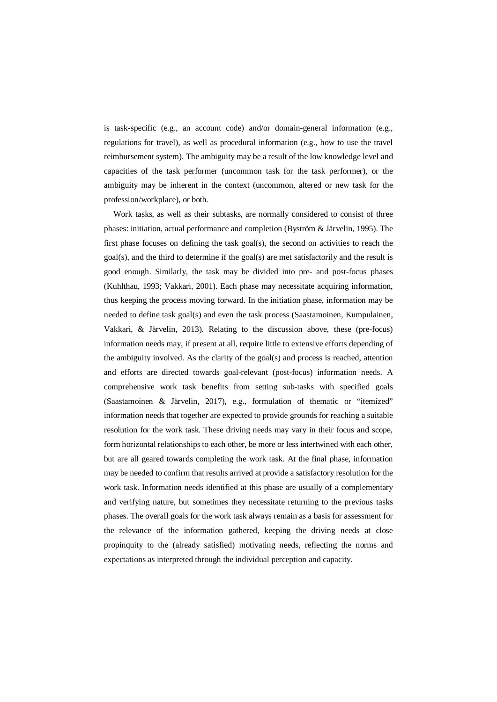is task-specific (e.g., an account code) and/or domain-general information (e.g., regulations for travel), as well as procedural information (e.g., how to use the travel reimbursement system). The ambiguity may be a result of the low knowledge level and capacities of the task performer (uncommon task for the task performer), or the ambiguity may be inherent in the context (uncommon, altered or new task for the profession/workplace), or both.

Work tasks, as well as their subtasks, are normally considered to consist of three phases: initiation, actual performance and completion (Byström & Järvelin, 1995). The first phase focuses on defining the task goal(s), the second on activities to reach the goal(s), and the third to determine if the goal(s) are met satisfactorily and the result is good enough. Similarly, the task may be divided into pre- and post-focus phases (Kuhlthau, 1993; Vakkari, 2001). Each phase may necessitate acquiring information, thus keeping the process moving forward. In the initiation phase, information may be needed to define task goal(s) and even the task process (Saastamoinen, Kumpulainen, Vakkari, & Järvelin, 2013). Relating to the discussion above, these (pre-focus) information needs may, if present at all, require little to extensive efforts depending of the ambiguity involved. As the clarity of the goal(s) and process is reached, attention and efforts are directed towards goal-relevant (post-focus) information needs. A comprehensive work task benefits from setting sub-tasks with specified goals (Saastamoinen & Järvelin, 2017), e.g., formulation of thematic or "itemized" information needs that together are expected to provide grounds for reaching a suitable resolution for the work task. These driving needs may vary in their focus and scope, form horizontal relationships to each other, be more or less intertwined with each other, but are all geared towards completing the work task. At the final phase, information may be needed to confirm that results arrived at provide a satisfactory resolution for the work task. Information needs identified at this phase are usually of a complementary and verifying nature, but sometimes they necessitate returning to the previous tasks phases. The overall goals for the work task always remain as a basis for assessment for the relevance of the information gathered, keeping the driving needs at close propinquity to the (already satisfied) motivating needs, reflecting the norms and expectations as interpreted through the individual perception and capacity.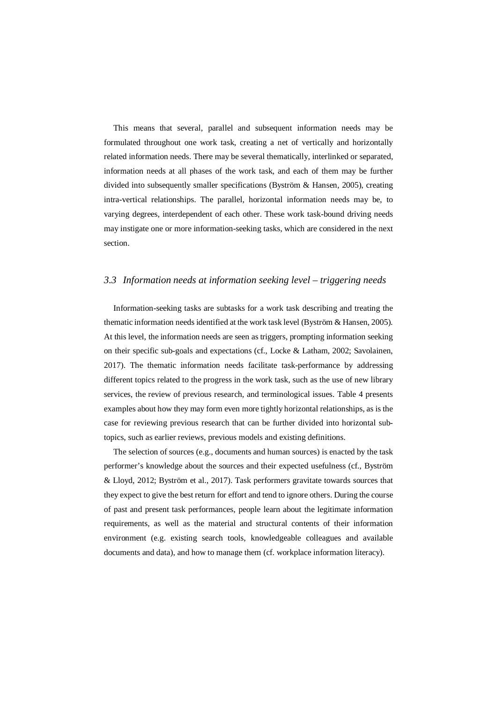This means that several, parallel and subsequent information needs may be formulated throughout one work task, creating a net of vertically and horizontally related information needs. There may be several thematically, interlinked or separated, information needs at all phases of the work task, and each of them may be further divided into subsequently smaller specifications (Byström & Hansen, 2005), creating intra-vertical relationships. The parallel, horizontal information needs may be, to varying degrees, interdependent of each other. These work task-bound driving needs may instigate one or more information-seeking tasks, which are considered in the next section.

## *3.3 Information needs at information seeking level – triggering needs*

Information-seeking tasks are subtasks for a work task describing and treating the thematic information needs identified at the work task level (Byström & Hansen, 2005). At this level, the information needs are seen as triggers, prompting information seeking on their specific sub-goals and expectations (cf., Locke & Latham, 2002; Savolainen, 2017). The thematic information needs facilitate task-performance by addressing different topics related to the progress in the work task, such as the use of new library services, the review of previous research, and terminological issues. Table 4 presents examples about how they may form even more tightly horizontal relationships, as is the case for reviewing previous research that can be further divided into horizontal subtopics, such as earlier reviews, previous models and existing definitions.

The selection of sources (e.g., documents and human sources) is enacted by the task performer's knowledge about the sources and their expected usefulness (cf., Byström & Lloyd, 2012; Byström et al., 2017). Task performers gravitate towards sources that they expect to give the best return for effort and tend to ignore others. During the course of past and present task performances, people learn about the legitimate information requirements, as well as the material and structural contents of their information environment (e.g. existing search tools, knowledgeable colleagues and available documents and data), and how to manage them (cf. workplace information literacy).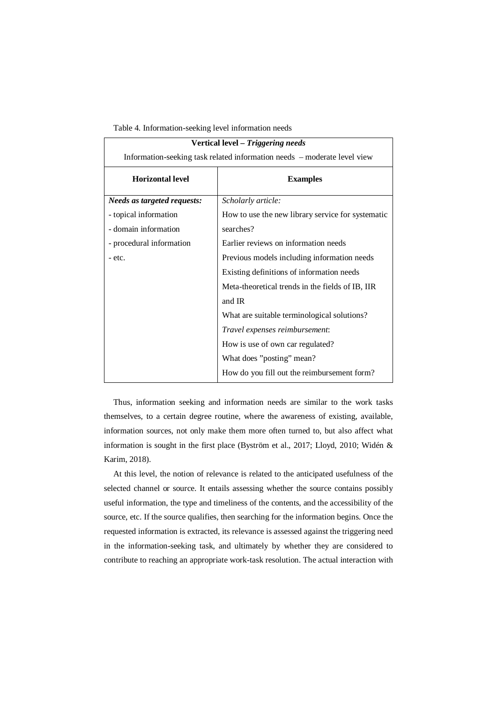| Vertical level - Triggering needs                                        |                                                   |  |
|--------------------------------------------------------------------------|---------------------------------------------------|--|
| Information-seeking task related information needs – moderate level view |                                                   |  |
| <b>Horizontal level</b>                                                  | <b>Examples</b>                                   |  |
| <b>Needs as targeted requests:</b>                                       | Scholarly article:                                |  |
| - topical information                                                    | How to use the new library service for systematic |  |
| - domain information                                                     | searches?                                         |  |
| - procedural information                                                 | Earlier reviews on information needs              |  |
| - etc.                                                                   | Previous models including information needs       |  |
|                                                                          | Existing definitions of information needs         |  |
|                                                                          | Meta-theoretical trends in the fields of IB, IIR  |  |
|                                                                          | and IR                                            |  |
|                                                                          | What are suitable terminological solutions?       |  |
|                                                                          | Travel expenses reimbursement:                    |  |
|                                                                          | How is use of own car regulated?                  |  |
|                                                                          | What does "posting" mean?                         |  |
|                                                                          | How do you fill out the reimbursement form?       |  |

Thus, information seeking and information needs are similar to the work tasks themselves, to a certain degree routine, where the awareness of existing, available, information sources, not only make them more often turned to, but also affect what information is sought in the first place (Byström et al., 2017; Lloyd, 2010; Widén & Karim, 2018).

At this level, the notion of relevance is related to the anticipated usefulness of the selected channel or source. It entails assessing whether the source contains possibly useful information, the type and timeliness of the contents, and the accessibility of the source, etc. If the source qualifies, then searching for the information begins. Once the requested information is extracted, its relevance is assessed against the triggering need in the information-seeking task, and ultimately by whether they are considered to contribute to reaching an appropriate work-task resolution. The actual interaction with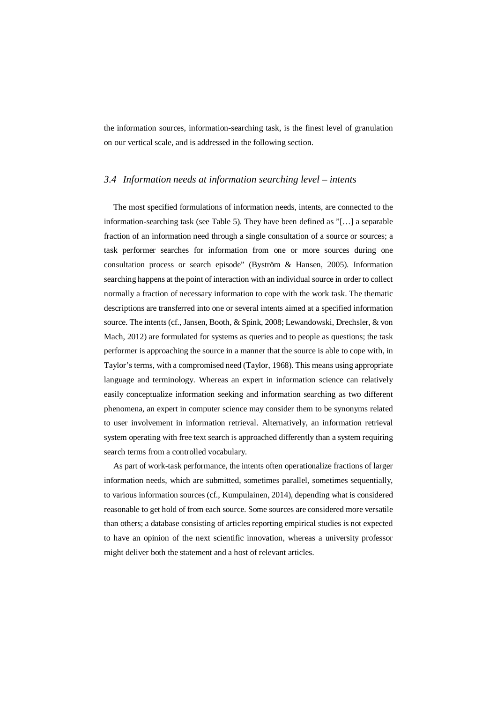the information sources, information-searching task, is the finest level of granulation on our vertical scale, and is addressed in the following section.

## *3.4 Information needs at information searching level – intents*

The most specified formulations of information needs, intents, are connected to the information-searching task (see Table 5). They have been defined as "[…] a separable fraction of an information need through a single consultation of a source or sources; a task performer searches for information from one or more sources during one consultation process or search episode" (Byström & Hansen, 2005). Information searching happens at the point of interaction with an individual source in order to collect normally a fraction of necessary information to cope with the work task. The thematic descriptions are transferred into one or several intents aimed at a specified information source. The intents (cf., Jansen, Booth, & Spink, 2008; Lewandowski, Drechsler, & von Mach, 2012) are formulated for systems as queries and to people as questions; the task performer is approaching the source in a manner that the source is able to cope with, in Taylor's terms, with a compromised need (Taylor, 1968). This means using appropriate language and terminology. Whereas an expert in information science can relatively easily conceptualize information seeking and information searching as two different phenomena, an expert in computer science may consider them to be synonyms related to user involvement in information retrieval. Alternatively, an information retrieval system operating with free text search is approached differently than a system requiring search terms from a controlled vocabulary.

As part of work-task performance, the intents often operationalize fractions of larger information needs, which are submitted, sometimes parallel, sometimes sequentially, to various information sources (cf., Kumpulainen, 2014), depending what is considered reasonable to get hold of from each source. Some sources are considered more versatile than others; a database consisting of articles reporting empirical studies is not expected to have an opinion of the next scientific innovation, whereas a university professor might deliver both the statement and a host of relevant articles.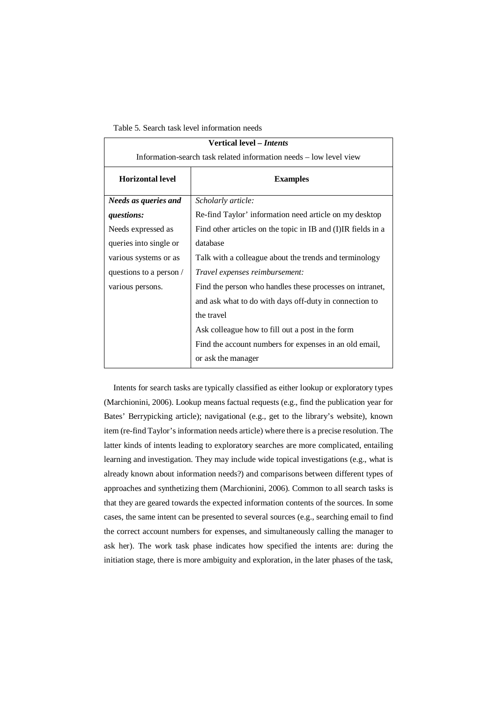Table 5. Search task level information needs

| <b>Vertical level – Intents</b>                                    |                                                              |  |
|--------------------------------------------------------------------|--------------------------------------------------------------|--|
| Information-search task related information needs – low level view |                                                              |  |
| <b>Horizontal level</b>                                            | <b>Examples</b>                                              |  |
| Needs as queries and                                               | Scholarly article:                                           |  |
| questions:                                                         | Re-find Taylor' information need article on my desktop       |  |
| Needs expressed as                                                 | Find other articles on the topic in IB and (I)IR fields in a |  |
| queries into single or                                             | database                                                     |  |
| various systems or as                                              | Talk with a colleague about the trends and terminology       |  |
| questions to a person /                                            | Travel expenses reimbursement:                               |  |
| various persons.                                                   | Find the person who handles these processes on intranet,     |  |
|                                                                    | and ask what to do with days off-duty in connection to       |  |
|                                                                    | the travel                                                   |  |
|                                                                    | Ask colleague how to fill out a post in the form             |  |
|                                                                    | Find the account numbers for expenses in an old email,       |  |
|                                                                    | or ask the manager                                           |  |

Intents for search tasks are typically classified as either lookup or exploratory types (Marchionini, 2006). Lookup means factual requests (e.g., find the publication year for Bates' Berrypicking article); navigational (e.g., get to the library's website), known item (re-find Taylor's information needs article) where there is a precise resolution. The latter kinds of intents leading to exploratory searches are more complicated, entailing learning and investigation. They may include wide topical investigations (e.g., what is already known about information needs?) and comparisons between different types of approaches and synthetizing them (Marchionini, 2006). Common to all search tasks is that they are geared towards the expected information contents of the sources. In some cases, the same intent can be presented to several sources (e.g., searching email to find the correct account numbers for expenses, and simultaneously calling the manager to ask her). The work task phase indicates how specified the intents are: during the initiation stage, there is more ambiguity and exploration, in the later phases of the task,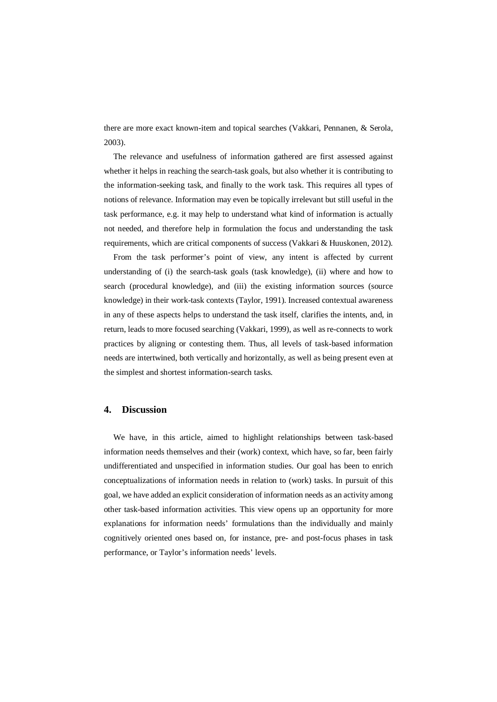there are more exact known-item and topical searches (Vakkari, Pennanen, & Serola, 2003).

The relevance and usefulness of information gathered are first assessed against whether it helps in reaching the search-task goals, but also whether it is contributing to the information-seeking task, and finally to the work task. This requires all types of notions of relevance. Information may even be topically irrelevant but still useful in the task performance, e.g. it may help to understand what kind of information is actually not needed, and therefore help in formulation the focus and understanding the task requirements, which are critical components of success (Vakkari & Huuskonen, 2012).

From the task performer's point of view, any intent is affected by current understanding of (i) the search-task goals (task knowledge), (ii) where and how to search (procedural knowledge), and (iii) the existing information sources (source knowledge) in their work-task contexts (Taylor, 1991). Increased contextual awareness in any of these aspects helps to understand the task itself, clarifies the intents, and, in return, leads to more focused searching (Vakkari, 1999), as well as re-connects to work practices by aligning or contesting them. Thus, all levels of task-based information needs are intertwined, both vertically and horizontally, as well as being present even at the simplest and shortest information-search tasks.

#### **4. Discussion**

We have, in this article, aimed to highlight relationships between task-based information needs themselves and their (work) context, which have, so far, been fairly undifferentiated and unspecified in information studies. Our goal has been to enrich conceptualizations of information needs in relation to (work) tasks. In pursuit of this goal, we have added an explicit consideration of information needs as an activity among other task-based information activities. This view opens up an opportunity for more explanations for information needs' formulations than the individually and mainly cognitively oriented ones based on, for instance, pre- and post-focus phases in task performance, or Taylor's information needs' levels.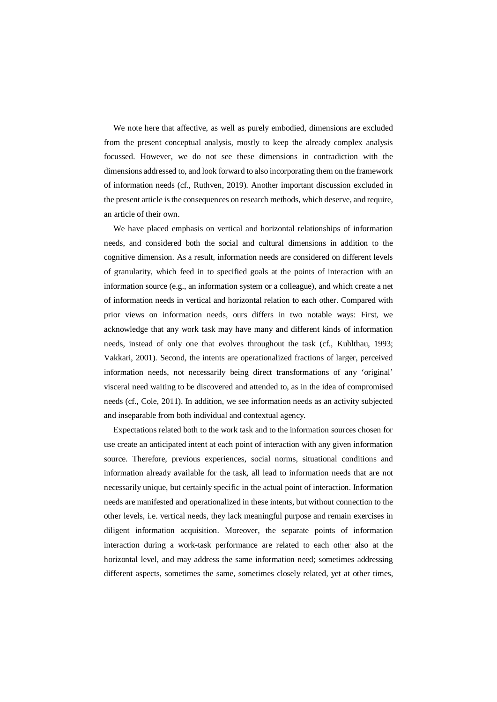We note here that affective, as well as purely embodied, dimensions are excluded from the present conceptual analysis, mostly to keep the already complex analysis focussed. However, we do not see these dimensions in contradiction with the dimensions addressed to, and look forward to also incorporating them on the framework of information needs (cf., Ruthven, 2019). Another important discussion excluded in the present article is the consequences on research methods, which deserve, and require, an article of their own.

We have placed emphasis on vertical and horizontal relationships of information needs, and considered both the social and cultural dimensions in addition to the cognitive dimension. As a result, information needs are considered on different levels of granularity, which feed in to specified goals at the points of interaction with an information source (e.g., an information system or a colleague), and which create a net of information needs in vertical and horizontal relation to each other. Compared with prior views on information needs, ours differs in two notable ways: First, we acknowledge that any work task may have many and different kinds of information needs, instead of only one that evolves throughout the task (cf., Kuhlthau, 1993; Vakkari, 2001). Second, the intents are operationalized fractions of larger, perceived information needs, not necessarily being direct transformations of any 'original' visceral need waiting to be discovered and attended to, as in the idea of compromised needs (cf., Cole, 2011). In addition, we see information needs as an activity subjected and inseparable from both individual and contextual agency.

Expectations related both to the work task and to the information sources chosen for use create an anticipated intent at each point of interaction with any given information source. Therefore, previous experiences, social norms, situational conditions and information already available for the task, all lead to information needs that are not necessarily unique, but certainly specific in the actual point of interaction. Information needs are manifested and operationalized in these intents, but without connection to the other levels, i.e. vertical needs, they lack meaningful purpose and remain exercises in diligent information acquisition. Moreover, the separate points of information interaction during a work-task performance are related to each other also at the horizontal level, and may address the same information need; sometimes addressing different aspects, sometimes the same, sometimes closely related, yet at other times,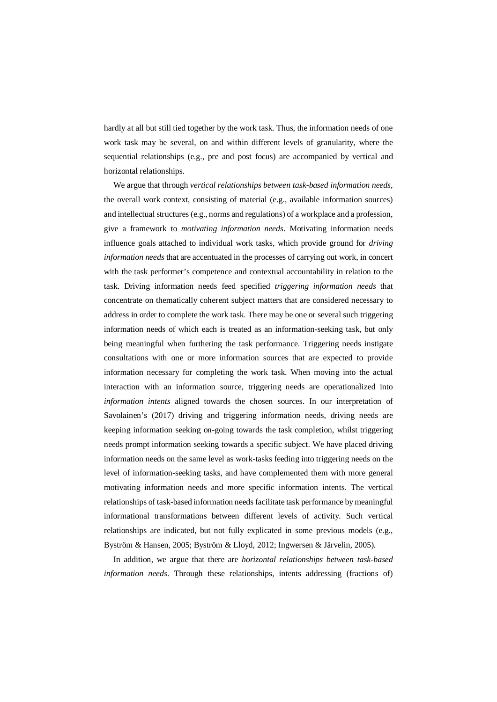hardly at all but still tied together by the work task. Thus, the information needs of one work task may be several, on and within different levels of granularity, where the sequential relationships (e.g., pre and post focus) are accompanied by vertical and horizontal relationships.

We argue that through *vertical relationships between task-based information needs*, the overall work context, consisting of material (e.g., available information sources) and intellectual structures (e.g., norms and regulations) of a workplace and a profession, give a framework to *motivating information needs*. Motivating information needs influence goals attached to individual work tasks, which provide ground for *driving information needs* that are accentuated in the processes of carrying out work, in concert with the task performer's competence and contextual accountability in relation to the task. Driving information needs feed specified *triggering information needs* that concentrate on thematically coherent subject matters that are considered necessary to address in order to complete the work task. There may be one or several such triggering information needs of which each is treated as an information-seeking task, but only being meaningful when furthering the task performance. Triggering needs instigate consultations with one or more information sources that are expected to provide information necessary for completing the work task. When moving into the actual interaction with an information source, triggering needs are operationalized into *information intents* aligned towards the chosen sources. In our interpretation of Savolainen's (2017) driving and triggering information needs, driving needs are keeping information seeking on-going towards the task completion, whilst triggering needs prompt information seeking towards a specific subject. We have placed driving information needs on the same level as work-tasks feeding into triggering needs on the level of information-seeking tasks, and have complemented them with more general motivating information needs and more specific information intents. The vertical relationships of task-based information needs facilitate task performance by meaningful informational transformations between different levels of activity. Such vertical relationships are indicated, but not fully explicated in some previous models (e.g., Byström & Hansen, 2005; Byström & Lloyd, 2012; Ingwersen & Järvelin, 2005).

In addition, we argue that there are *horizontal relationships between task-based information needs*. Through these relationships, intents addressing (fractions of)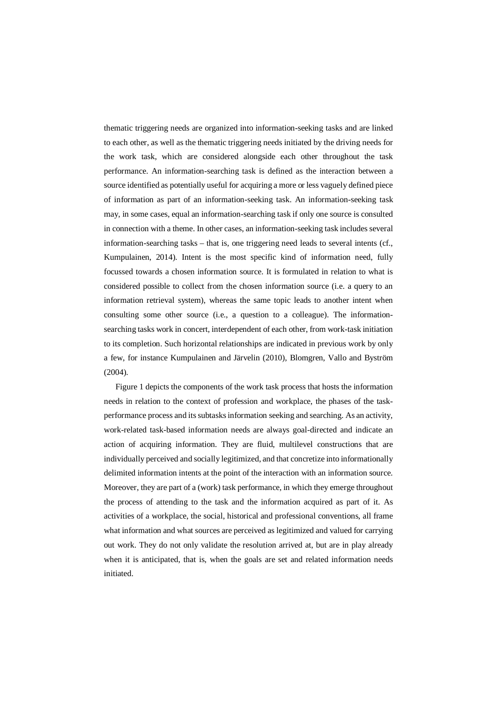thematic triggering needs are organized into information-seeking tasks and are linked to each other, as well as the thematic triggering needs initiated by the driving needs for the work task, which are considered alongside each other throughout the task performance. An information-searching task is defined as the interaction between a source identified as potentially useful for acquiring a more or less vaguely defined piece of information as part of an information-seeking task. An information-seeking task may, in some cases, equal an information-searching task if only one source is consulted in connection with a theme. In other cases, an information-seeking task includes several information-searching tasks – that is, one triggering need leads to several intents (cf., Kumpulainen, 2014). Intent is the most specific kind of information need, fully focussed towards a chosen information source. It is formulated in relation to what is considered possible to collect from the chosen information source (i.e. a query to an information retrieval system), whereas the same topic leads to another intent when consulting some other source (i.e., a question to a colleague). The informationsearching tasks work in concert, interdependent of each other, from work-task initiation to its completion. Such horizontal relationships are indicated in previous work by only a few, for instance Kumpulainen and Järvelin (2010), Blomgren, Vallo and Byström (2004).

 Figure 1 depicts the components of the work task process that hosts the information needs in relation to the context of profession and workplace, the phases of the taskperformance process and its subtasks information seeking and searching. As an activity, work-related task-based information needs are always goal-directed and indicate an action of acquiring information. They are fluid, multilevel constructions that are individually perceived and socially legitimized, and that concretize into informationally delimited information intents at the point of the interaction with an information source. Moreover, they are part of a (work) task performance, in which they emerge throughout the process of attending to the task and the information acquired as part of it. As activities of a workplace, the social, historical and professional conventions, all frame what information and what sources are perceived as legitimized and valued for carrying out work. They do not only validate the resolution arrived at, but are in play already when it is anticipated, that is, when the goals are set and related information needs initiated.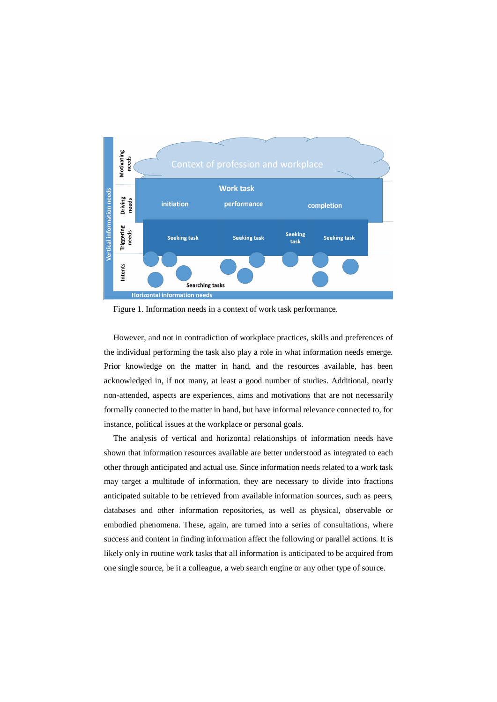

Figure 1. Information needs in a context of work task performance.

However, and not in contradiction of workplace practices, skills and preferences of the individual performing the task also play a role in what information needs emerge. Prior knowledge on the matter in hand, and the resources available, has been acknowledged in, if not many, at least a good number of studies. Additional, nearly non-attended, aspects are experiences, aims and motivations that are not necessarily formally connected to the matter in hand, but have informal relevance connected to, for instance, political issues at the workplace or personal goals.

The analysis of vertical and horizontal relationships of information needs have shown that information resources available are better understood as integrated to each other through anticipated and actual use. Since information needs related to a work task may target a multitude of information, they are necessary to divide into fractions anticipated suitable to be retrieved from available information sources, such as peers, databases and other information repositories, as well as physical, observable or embodied phenomena. These, again, are turned into a series of consultations, where success and content in finding information affect the following or parallel actions. It is likely only in routine work tasks that all information is anticipated to be acquired from one single source, be it a colleague, a web search engine or any other type of source.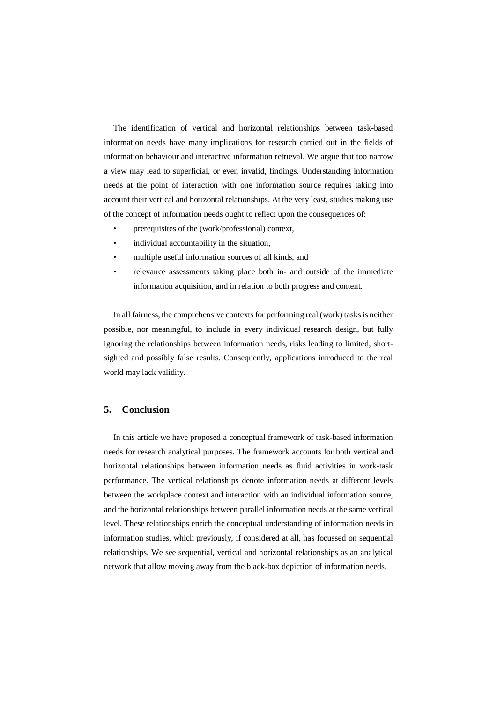The identification of vertical and horizontal relationships between task-based information needs have many implications for research carried out in the fields of information behaviour and interactive information retrieval. We argue that too narrow a view may lead to superficial, or even invalid, findings. Understanding information needs at the point of interaction with one information source requires taking into account their vertical and horizontal relationships. At the very least, studies making use of the concept of information needs ought to reflect upon the consequences of:

- prerequisites of the (work/professional) context,
- individual accountability in the situation,
- multiple useful information sources of all kinds, and
- relevance assessments taking place both in- and outside of the immediate information acquisition, and in relation to both progress and content.

In all fairness, the comprehensive contexts for performing real (work) tasks is neither possible, nor meaningful, to include in every individual research design, but fully ignoring the relationships between information needs, risks leading to limited, shortsighted and possibly false results. Consequently, applications introduced to the real world may lack validity.

## **5. Conclusion**

In this article we have proposed a conceptual framework of task-based information needs for research analytical purposes. The framework accounts for both vertical and horizontal relationships between information needs as fluid activities in work-task performance. The vertical relationships denote information needs at different levels between the workplace context and interaction with an individual information source, and the horizontal relationships between parallel information needs at the same vertical level. These relationships enrich the conceptual understanding of information needs in information studies, which previously, if considered at all, has focussed on sequential relationships. We see sequential, vertical and horizontal relationships as an analytical network that allow moving away from the black-box depiction of information needs.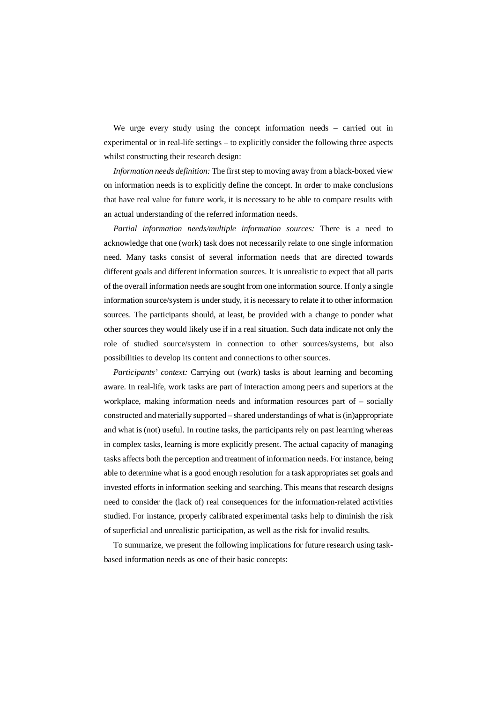We urge every study using the concept information needs – carried out in experimental or in real-life settings – to explicitly consider the following three aspects whilst constructing their research design:

*Information needs definition:* The first step to moving away from a black-boxed view on information needs is to explicitly define the concept. In order to make conclusions that have real value for future work, it is necessary to be able to compare results with an actual understanding of the referred information needs.

*Partial information needs/multiple information sources:* There is a need to acknowledge that one (work) task does not necessarily relate to one single information need. Many tasks consist of several information needs that are directed towards different goals and different information sources. It is unrealistic to expect that all parts of the overall information needs are sought from one information source. If only a single information source/system is under study, it is necessary to relate it to other information sources. The participants should, at least, be provided with a change to ponder what other sources they would likely use if in a real situation. Such data indicate not only the role of studied source/system in connection to other sources/systems, but also possibilities to develop its content and connections to other sources.

*Participants' context:* Carrying out (work) tasks is about learning and becoming aware. In real-life, work tasks are part of interaction among peers and superiors at the workplace, making information needs and information resources part of – socially constructed and materially supported – shared understandings of what is (in)appropriate and what is (not) useful. In routine tasks, the participants rely on past learning whereas in complex tasks, learning is more explicitly present. The actual capacity of managing tasks affects both the perception and treatment of information needs. For instance, being able to determine what is a good enough resolution for a task appropriates set goals and invested efforts in information seeking and searching. This means that research designs need to consider the (lack of) real consequences for the information-related activities studied. For instance, properly calibrated experimental tasks help to diminish the risk of superficial and unrealistic participation, as well as the risk for invalid results.

To summarize, we present the following implications for future research using taskbased information needs as one of their basic concepts: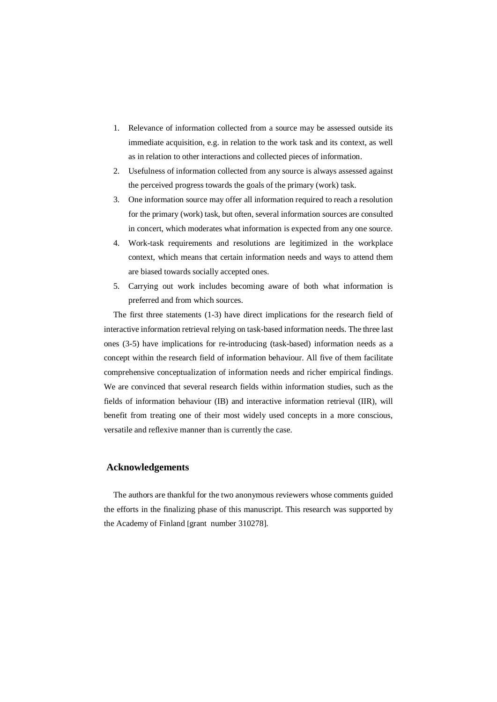- 1. Relevance of information collected from a source may be assessed outside its immediate acquisition, e.g. in relation to the work task and its context, as well as in relation to other interactions and collected pieces of information.
- 2. Usefulness of information collected from any source is always assessed against the perceived progress towards the goals of the primary (work) task.
- 3. One information source may offer all information required to reach a resolution for the primary (work) task, but often, several information sources are consulted in concert, which moderates what information is expected from any one source.
- 4. Work-task requirements and resolutions are legitimized in the workplace context, which means that certain information needs and ways to attend them are biased towards socially accepted ones.
- 5. Carrying out work includes becoming aware of both what information is preferred and from which sources.

The first three statements (1-3) have direct implications for the research field of interactive information retrieval relying on task-based information needs. The three last ones (3-5) have implications for re-introducing (task-based) information needs as a concept within the research field of information behaviour. All five of them facilitate comprehensive conceptualization of information needs and richer empirical findings. We are convinced that several research fields within information studies, such as the fields of information behaviour (IB) and interactive information retrieval (IIR), will benefit from treating one of their most widely used concepts in a more conscious, versatile and reflexive manner than is currently the case.

#### **Acknowledgements**

The authors are thankful for the two anonymous reviewers whose comments guided the efforts in the finalizing phase of this manuscript. This research was supported by the Academy of Finland [grant number 310278].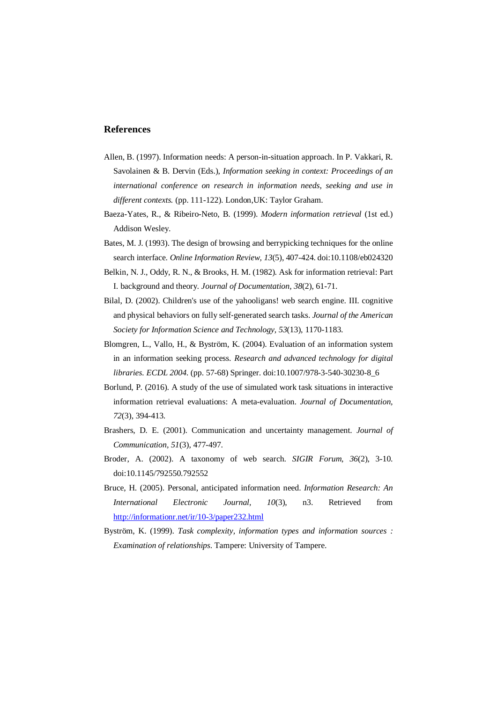#### **References**

- Allen, B. (1997). Information needs: A person-in-situation approach. In P. Vakkari, R. Savolainen & B. Dervin (Eds.), *Information seeking in context: Proceedings of an international conference on research in information needs, seeking and use in different contexts.* (pp. 111-122). London,UK: Taylor Graham.
- Baeza-Yates, R., & Ribeiro-Neto, B. (1999). *Modern information retrieval* (1st ed.) Addison Wesley.
- Bates, M. J. (1993). The design of browsing and berrypicking techniques for the online search interface. *Online Information Review, 13*(5), 407-424. doi:10.1108/eb024320
- Belkin, N. J., Oddy, R. N., & Brooks, H. M. (1982). Ask for information retrieval: Part I. background and theory. *Journal of Documentation, 38*(2), 61-71.
- Bilal, D. (2002). Children's use of the yahooligans! web search engine. III. cognitive and physical behaviors on fully self-generated search tasks. *Journal of the American Society for Information Science and Technology, 53*(13), 1170-1183.
- Blomgren, L., Vallo, H., & Byström, K. (2004). Evaluation of an information system in an information seeking process. *Research and advanced technology for digital libraries. ECDL 2004.* (pp. 57-68) Springer. doi:10.1007/978-3-540-30230-8\_6
- Borlund, P. (2016). A study of the use of simulated work task situations in interactive information retrieval evaluations: A meta-evaluation. *Journal of Documentation, 72*(3), 394-413.
- Brashers, D. E. (2001). Communication and uncertainty management. *Journal of Communication, 51*(3), 477-497.
- Broder, A. (2002). A taxonomy of web search. *SIGIR Forum, 36*(2), 3-10. doi:10.1145/792550.792552
- Bruce, H. (2005). Personal, anticipated information need. *Information Research: An International Electronic Journal, 10*(3), n3. Retrieved from http://informationr.net/ir/10-3/paper232.html
- Byström, K. (1999). *Task complexity, information types and information sources : Examination of relationships*. Tampere: University of Tampere.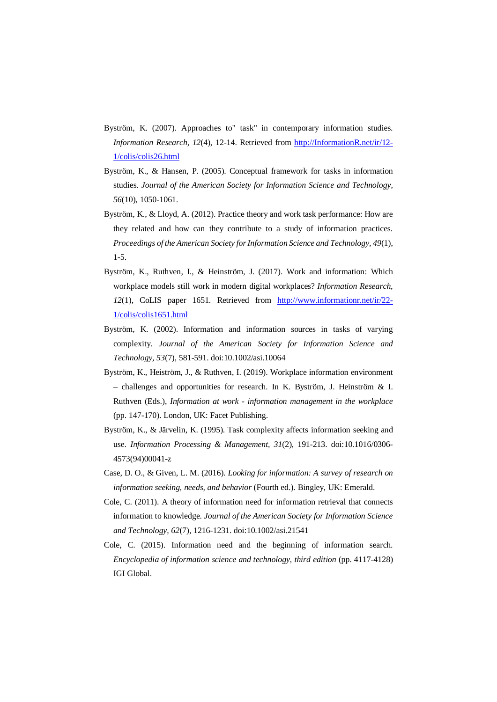- Byström, K. (2007). Approaches to" task" in contemporary information studies. *Information Research, 12*(4), 12-14. Retrieved from http://InformationR.net/ir/12- 1/colis/colis26.html
- Byström, K., & Hansen, P. (2005). Conceptual framework for tasks in information studies. *Journal of the American Society for Information Science and Technology, 56*(10), 1050-1061.
- Byström, K., & Lloyd, A. (2012). Practice theory and work task performance: How are they related and how can they contribute to a study of information practices. *Proceedings of the American Society for Information Science and Technology, 49*(1), 1-5.
- Byström, K., Ruthven, I., & Heinström, J. (2017). Work and information: Which workplace models still work in modern digital workplaces? *Information Research, 12*(1), CoLIS paper 1651. Retrieved from http://www.informationr.net/ir/22- 1/colis/colis1651.html
- Byström, K. (2002). Information and information sources in tasks of varying complexity. *Journal of the American Society for Information Science and Technology, 53*(7), 581-591. doi:10.1002/asi.10064
- Byström, K., Heiström, J., & Ruthven, I. (2019). Workplace information environment – challenges and opportunities for research. In K. Byström, J. Heinström & I. Ruthven (Eds.), *Information at work - information management in the workplace* (pp. 147-170). London, UK: Facet Publishing.
- Byström, K., & Järvelin, K. (1995). Task complexity affects information seeking and use. *Information Processing & Management, 31*(2), 191-213. doi:10.1016/0306- 4573(94)00041-z
- Case, D. O., & Given, L. M. (2016). *Looking for information: A survey of research on information seeking, needs, and behavior* (Fourth ed.). Bingley, UK: Emerald.
- Cole, C. (2011). A theory of information need for information retrieval that connects information to knowledge. *Journal of the American Society for Information Science and Technology, 62*(7), 1216-1231. doi:10.1002/asi.21541
- Cole, C. (2015). Information need and the beginning of information search. *Encyclopedia of information science and technology, third edition* (pp. 4117-4128) IGI Global.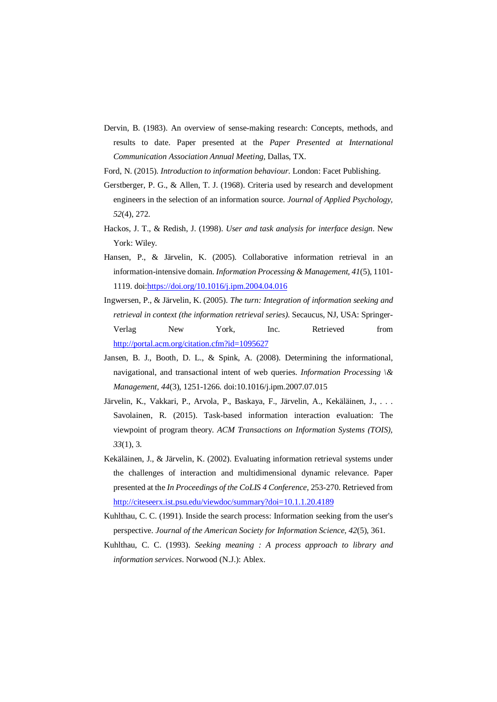Dervin, B. (1983). An overview of sense-making research: Concepts, methods, and results to date. Paper presented at the *Paper Presented at International Communication Association Annual Meeting,* Dallas, TX.

Ford, N. (2015). *Introduction to information behaviour*. London: Facet Publishing.

- Gerstberger, P. G., & Allen, T. J. (1968). Criteria used by research and development engineers in the selection of an information source. *Journal of Applied Psychology, 52*(4), 272.
- Hackos, J. T., & Redish, J. (1998). *User and task analysis for interface design*. New York: Wiley.
- Hansen, P., & Järvelin, K. (2005). Collaborative information retrieval in an information-intensive domain. *Information Processing & Management, 41*(5), 1101- 1119. doi:https://doi.org/10.1016/j.ipm.2004.04.016
- Ingwersen, P., & Järvelin, K. (2005). *The turn: Integration of information seeking and retrieval in context (the information retrieval series)*. Secaucus, NJ, USA: Springer-Verlag New York, Inc. Retrieved from http://portal.acm.org/citation.cfm?id=1095627
- Jansen, B. J., Booth, D. L., & Spink, A. (2008). Determining the informational, navigational, and transactional intent of web queries. *Information Processing \& Management, 44*(3), 1251-1266. doi:10.1016/j.ipm.2007.07.015
- Järvelin, K., Vakkari, P., Arvola, P., Baskaya, F., Järvelin, A., Kekäläinen, J., . . . Savolainen, R. (2015). Task-based information interaction evaluation: The viewpoint of program theory. *ACM Transactions on Information Systems (TOIS), 33*(1), 3.
- Kekäläinen, J., & Järvelin, K. (2002). Evaluating information retrieval systems under the challenges of interaction and multidimensional dynamic relevance. Paper presented at the *In Proceedings of the CoLIS 4 Conference,* 253-270. Retrieved from http://citeseerx.ist.psu.edu/viewdoc/summary?doi=10.1.1.20.4189
- Kuhlthau, C. C. (1991). Inside the search process: Information seeking from the user's perspective. *Journal of the American Society for Information Science, 42*(5), 361.
- Kuhlthau, C. C. (1993). *Seeking meaning : A process approach to library and information services*. Norwood (N.J.): Ablex.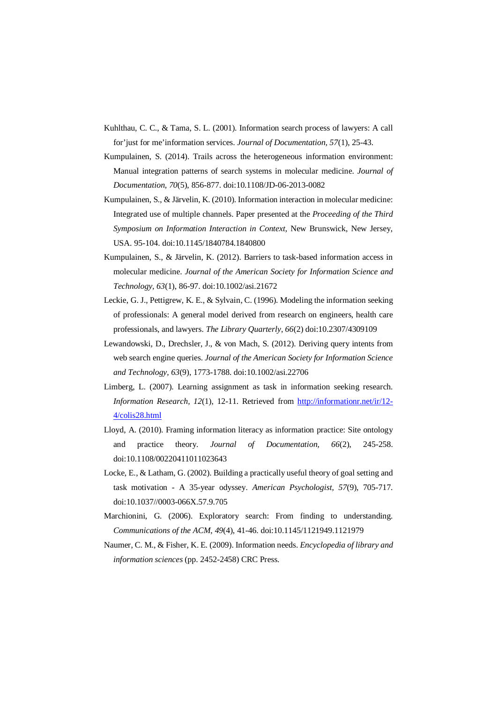- Kuhlthau, C. C., & Tama, S. L. (2001). Information search process of lawyers: A call for'just for me'information services. *Journal of Documentation, 57*(1), 25-43.
- Kumpulainen, S. (2014). Trails across the heterogeneous information environment: Manual integration patterns of search systems in molecular medicine. *Journal of Documentation, 70*(5), 856-877. doi:10.1108/JD-06-2013-0082
- Kumpulainen, S., & Järvelin, K. (2010). Information interaction in molecular medicine: Integrated use of multiple channels. Paper presented at the *Proceeding of the Third Symposium on Information Interaction in Context,* New Brunswick, New Jersey, USA. 95-104. doi:10.1145/1840784.1840800
- Kumpulainen, S., & Järvelin, K. (2012). Barriers to task-based information access in molecular medicine. *Journal of the American Society for Information Science and Technology, 63*(1), 86-97. doi:10.1002/asi.21672
- Leckie, G. J., Pettigrew, K. E., & Sylvain, C. (1996). Modeling the information seeking of professionals: A general model derived from research on engineers, health care professionals, and lawyers. *The Library Quarterly, 66*(2) doi:10.2307/4309109
- Lewandowski, D., Drechsler, J., & von Mach, S. (2012). Deriving query intents from web search engine queries. *Journal of the American Society for Information Science and Technology, 63*(9), 1773-1788. doi:10.1002/asi.22706
- Limberg, L. (2007). Learning assignment as task in information seeking research. *Information Research, 12*(1), 12-11. Retrieved from http://informationr.net/ir/12- 4/colis28.html
- Lloyd, A. (2010). Framing information literacy as information practice: Site ontology and practice theory. *Journal of Documentation, 66*(2), 245-258. doi:10.1108/00220411011023643
- Locke, E., & Latham, G. (2002). Building a practically useful theory of goal setting and task motivation - A 35-year odyssey. *American Psychologist, 57*(9), 705-717. doi:10.1037//0003-066X.57.9.705
- Marchionini, G. (2006). Exploratory search: From finding to understanding. *Communications of the ACM, 49*(4), 41-46. doi:10.1145/1121949.1121979
- Naumer, C. M., & Fisher, K. E. (2009). Information needs. *Encyclopedia of library and information sciences* (pp. 2452-2458) CRC Press.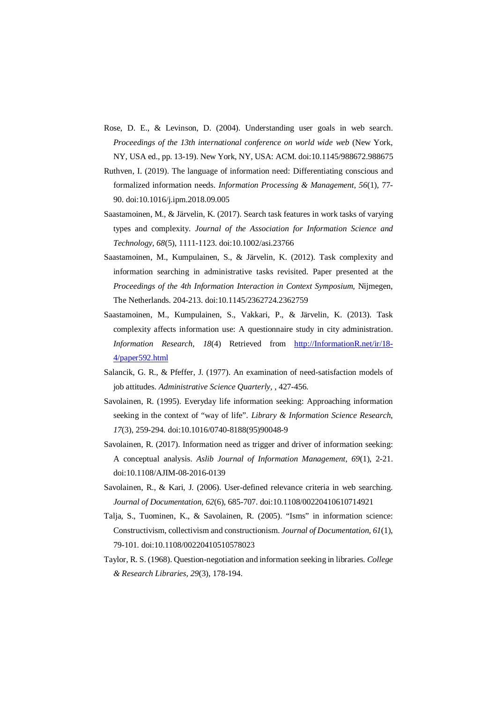- Rose, D. E., & Levinson, D. (2004). Understanding user goals in web search. *Proceedings of the 13th international conference on world wide web* (New York, NY, USA ed., pp. 13-19). New York, NY, USA: ACM. doi:10.1145/988672.988675
- Ruthven, I. (2019). The language of information need: Differentiating conscious and formalized information needs. *Information Processing & Management, 56*(1), 77- 90. doi:10.1016/j.ipm.2018.09.005
- Saastamoinen, M., & Järvelin, K. (2017). Search task features in work tasks of varying types and complexity. *Journal of the Association for Information Science and Technology, 68*(5), 1111-1123. doi:10.1002/asi.23766
- Saastamoinen, M., Kumpulainen, S., & Järvelin, K. (2012). Task complexity and information searching in administrative tasks revisited. Paper presented at the *Proceedings of the 4th Information Interaction in Context Symposium,* Nijmegen, The Netherlands. 204-213. doi:10.1145/2362724.2362759
- Saastamoinen, M., Kumpulainen, S., Vakkari, P., & Järvelin, K. (2013). Task complexity affects information use: A questionnaire study in city administration. *Information Research, 18*(4) Retrieved from http://InformationR.net/ir/18- 4/paper592.html
- Salancik, G. R., & Pfeffer, J. (1977). An examination of need-satisfaction models of job attitudes. *Administrative Science Quarterly,* , 427-456.
- Savolainen, R. (1995). Everyday life information seeking: Approaching information seeking in the context of "way of life". *Library & Information Science Research, 17*(3), 259-294. doi:10.1016/0740-8188(95)90048-9
- Savolainen, R. (2017). Information need as trigger and driver of information seeking: A conceptual analysis. *Aslib Journal of Information Management, 69*(1), 2-21. doi:10.1108/AJIM-08-2016-0139
- Savolainen, R., & Kari, J. (2006). User-defined relevance criteria in web searching. *Journal of Documentation, 62*(6), 685-707. doi:10.1108/00220410610714921
- Talja, S., Tuominen, K., & Savolainen, R. (2005). "Isms" in information science: Constructivism, collectivism and constructionism. *Journal of Documentation, 61*(1), 79-101. doi:10.1108/00220410510578023
- Taylor, R. S. (1968). Question-negotiation and information seeking in libraries. *College & Research Libraries, 29*(3), 178-194.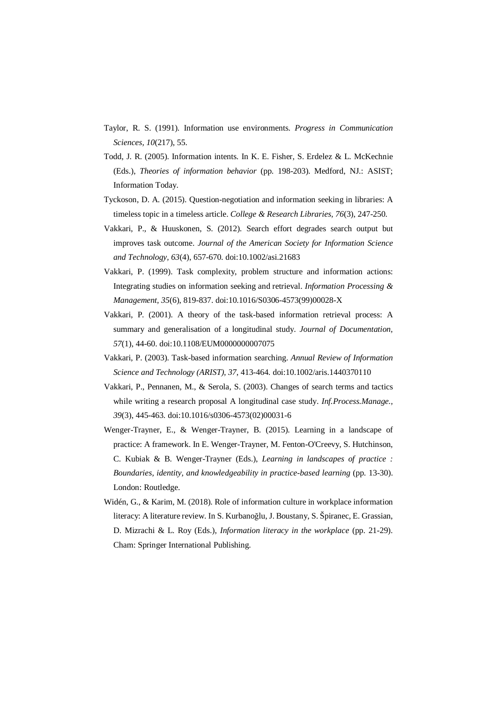- Taylor, R. S. (1991). Information use environments. *Progress in Communication Sciences, 10*(217), 55.
- Todd, J. R. (2005). Information intents. In K. E. Fisher, S. Erdelez & L. McKechnie (Eds.), *Theories of information behavior* (pp. 198-203). Medford, NJ.: ASIST; Information Today.
- Tyckoson, D. A. (2015). Question-negotiation and information seeking in libraries: A timeless topic in a timeless article. *College & Research Libraries, 76*(3), 247-250.
- Vakkari, P., & Huuskonen, S. (2012). Search effort degrades search output but improves task outcome. *Journal of the American Society for Information Science and Technology, 63*(4), 657-670. doi:10.1002/asi.21683
- Vakkari, P. (1999). Task complexity, problem structure and information actions: Integrating studies on information seeking and retrieval. *Information Processing & Management, 35*(6), 819-837. doi:10.1016/S0306-4573(99)00028-X
- Vakkari, P. (2001). A theory of the task-based information retrieval process: A summary and generalisation of a longitudinal study. *Journal of Documentation, 57*(1), 44-60. doi:10.1108/EUM0000000007075
- Vakkari, P. (2003). Task-based information searching. *Annual Review of Information Science and Technology (ARIST), 37*, 413-464. doi:10.1002/aris.1440370110
- Vakkari, P., Pennanen, M., & Serola, S. (2003). Changes of search terms and tactics while writing a research proposal A longitudinal case study. *Inf.Process.Manage., 39*(3), 445-463. doi:10.1016/s0306-4573(02)00031-6
- Wenger-Trayner, E., & Wenger-Trayner, B. (2015). Learning in a landscape of practice: A framework. In E. Wenger-Trayner, M. Fenton-O'Creevy, S. Hutchinson, C. Kubiak & B. Wenger-Trayner (Eds.), *Learning in landscapes of practice : Boundaries, identity, and knowledgeability in practice-based learning* (pp. 13-30). London: Routledge.
- Widén, G., & Karim, M. (2018). Role of information culture in workplace information literacy: A literature review. In S. Kurbanoğlu, J. Boustany, S. Špiranec, E. Grassian, D. Mizrachi & L. Roy (Eds.), *Information literacy in the workplace* (pp. 21-29). Cham: Springer International Publishing.